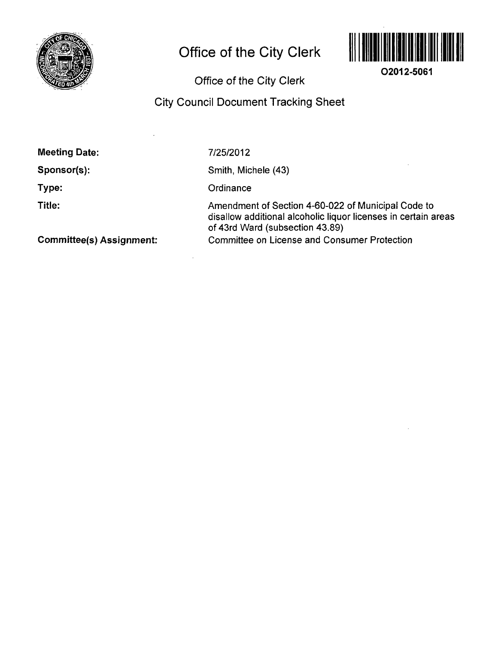

# **Office of the City Clerk**



**O2012-5061** 

Office of the City Clerk

# City Council Document Tracking Sheet

Sponsor(s):

Type:

Title:

**7/25/2012** 

Smith, Michele (43)

**Ordinance** 

Amendment of Section 4-60-022 of Municipal Code to disallow additional alcoholic liquor licenses in certain areas of 43rd Ward (subsection 43.89) Committee on License and Consumer Protection

Committee(s) Assignment: